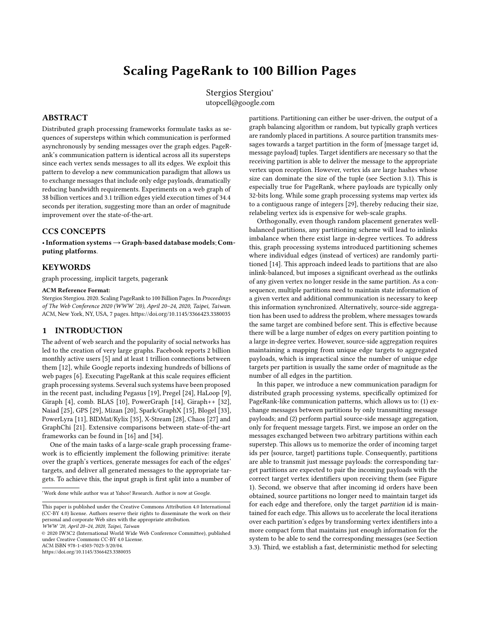# Scaling PageRank to 100 Billion Pages

Stergios Stergiou<sup>∗</sup> utopcell@google.com

# ABSTRACT

Distributed graph processing frameworks formulate tasks as sequences of supersteps within which communication is performed asynchronously by sending messages over the graph edges. PageRank's communication pattern is identical across all its supersteps since each vertex sends messages to all its edges. We exploit this pattern to develop a new communication paradigm that allows us to exchange messages that include only edge payloads, dramatically reducing bandwidth requirements. Experiments on a web graph of 38 billion vertices and 3.1 trillion edges yield execution times of 34.4 seconds per iteration, suggesting more than an order of magnitude improvement over the state-of-the-art.

# CCS CONCEPTS

•Information systems→Graph-based database models; Computing platforms.

# **KEYWORDS**

graph processing, implicit targets, pagerank

#### ACM Reference Format:

Stergios Stergiou. 2020. Scaling PageRank to 100 Billion Pages. In Proceedings of The Web Conference 2020 (WWW '20), April 20–24, 2020, Taipei, Taiwan. ACM, New York, NY, USA, [7](#page-6-0) pages.<https://doi.org/10.1145/3366423.3380035>

## 1 INTRODUCTION

The advent of web search and the popularity of social networks has led to the creation of very large graphs. Facebook reports 2 billion monthly active users [\[5\]](#page-6-1) and at least 1 trillion connections between them [\[12\]](#page-6-2), while Google reports indexing hundreds of billions of web pages [\[6\]](#page-6-3). Executing PageRank at this scale requires efficient graph processing systems. Several such systems have been proposed in the recent past, including Pegasus [\[19\]](#page-6-4), Pregel [\[24\]](#page-6-5), HaLoop [\[9\]](#page-6-6), Giraph [\[4\]](#page-6-7), comb. BLAS [\[10\]](#page-6-8), PowerGraph [\[14\]](#page-6-9), Giraph++ [\[32\]](#page-6-10), Naiad [\[25\]](#page-6-11), GPS [\[29\]](#page-6-12), Mizan [\[20\]](#page-6-13), Spark/GraphX [\[15\]](#page-6-14), Blogel [\[33\]](#page-6-15), PowerLyra [\[11\]](#page-6-16), BIDMat/Kylix [\[35\]](#page-6-17), X-Stream [\[28\]](#page-6-18), Chaos [\[27\]](#page-6-19) and GraphChi [\[21\]](#page-6-20). Extensive comparisons between state-of-the-art frameworks can be found in [\[16\]](#page-6-21) and [\[34\]](#page-6-22).

One of the main tasks of a large-scale graph processing framework is to efficiently implement the following primitive: iterate over the graph's vertices, generate messages for each of the edges' targets, and deliver all generated messages to the appropriate targets. To achieve this, the input graph is first split into a number of

<sup>∗</sup>Work done while author was at Yahoo! Research. Author is now at Google.

WWW '20, April 20–24, 2020, Taipei, Taiwan

© 2020 IW3C2 (International World Wide Web Conference Committee), published under Creative Commons CC-BY 4.0 License.

ACM ISBN 978-1-4503-7023-3/20/04.

<https://doi.org/10.1145/3366423.3380035>

partitions. Partitioning can either be user-driven, the output of a graph balancing algorithm or random, but typically graph vertices are randomly placed in partitions. A source partition transmits messages towards a target partition in the form of {message target id, message payload} tuples. Target identifiers are necessary so that the receiving partition is able to deliver the message to the appropriate vertex upon reception. However, vertex ids are large hashes whose size can dominate the size of the tuple (see Section [3.1\)](#page-2-0). This is especially true for PageRank, where payloads are typically only 32-bits long. While some graph processing systems map vertex ids to a contiguous range of integers [\[29\]](#page-6-12), thereby reducing their size, relabeling vertex ids is expensive for web-scale graphs.

Orthogonally, even though random placement generates wellbalanced partitions, any partitioning scheme will lead to inlinks imbalance when there exist large in-degree vertices. To address this, graph processing systems introduced partitioning schemes where individual edges (instead of vertices) are randomly partitioned [\[14\]](#page-6-9). This approach indeed leads to partitions that are also inlink-balanced, but imposes a significant overhead as the outlinks of any given vertex no longer reside in the same partition. As a consequence, multiple partitions need to maintain state information of a given vertex and additional communication is necessary to keep this information synchronized. Alternatively, source-side aggregation has been used to address the problem, where messages towards the same target are combined before sent. This is effective because there will be a large number of edges on every partition pointing to a large in-degree vertex. However, source-side aggregation requires maintaining a mapping from unique edge targets to aggregated payloads, which is impractical since the number of unique edge targets per partition is usually the same order of magnitude as the number of all edges in the partition.

In this paper, we introduce a new communication paradigm for distributed graph processing systems, specifically optimized for PageRank-like communication patterns, which allows us to: (1) exchange messages between partitions by only transmitting message payloads; and (2) perform partial source-side message aggregation, only for frequent message targets. First, we impose an order on the messages exchanged between two arbitrary partitions within each superstep. This allows us to memorize the order of incoming target ids per {source, target} partitions tuple. Consequently, partitions are able to transmit just message payloads: the corresponding target partitions are expected to pair the incoming payloads with the correct target vertex identifiers upon receiving them (see Figure [1\)](#page-1-0). Second, we observe that after incoming id orders have been obtained, source partitions no longer need to maintain target ids for each edge and therefore, only the target partition id is maintained for each edge. This allows us to accelerate the local iterations over each partition's edges by transforming vertex identifiers into a more compact form that maintains just enough information for the system to be able to send the corresponding messages (see Section [3.3\)](#page-2-1). Third, we establish a fast, deterministic method for selecting

This paper is published under the Creative Commons Attribution 4.0 International (CC-BY 4.0) license. Authors reserve their rights to disseminate the work on their personal and corporate Web sites with the appropriate attribution.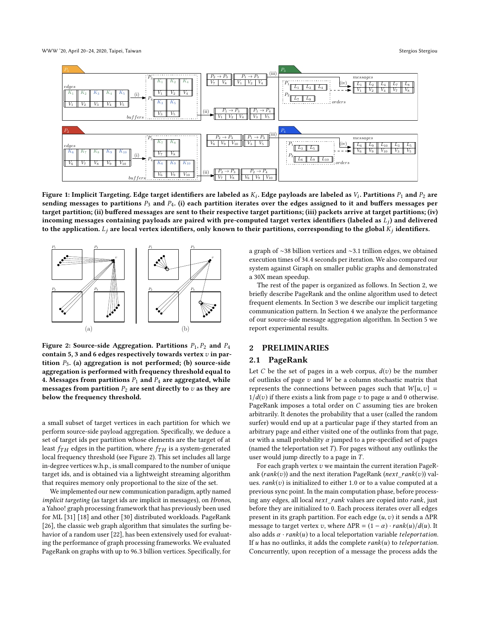<span id="page-1-0"></span>

Figure 1: Implicit Targeting. Edge target identifiers are labeled as  $K_i$ . Edge payloads are labeled as  $V_i$ . Partitions  $P_1$  and  $P_2$  are<br>sending messages to partitions  $P_2$  and  $P_4$  (i) each partition iterates over sending messages to partitions  $P_3$  and  $P_4$ . (i) each partition iterates over the edges assigned to it and buffers messages per target partition; (ii) buffered messages are sent to their respective target partitions; (iii) packets arrive at target partitions; (iv) incoming messages containing payloads are paired with pre-computed target vertex identifiers (labeled as  $L_i$ ) and delivered to the application.  $L_j$  are local vertex identifiers, only known to their partitions, corresponding to the global  $K_j$  identifiers.

<span id="page-1-1"></span>

Figure 2: Source-side Aggregation. Partitions  $P_1, P_2$  and  $P_4$ contain 5, 3 and 6 edges respectively towards vertex  $v$  in partition  $P_3$ . (a) aggregation is not performed; (b) source-side aggregation is performed with frequency threshold equal to 4. Messages from partitions  $P_1$  and  $P_4$  are aggregated, while messages from partition  $P_2$  are sent directly to  $v$  as they are below the frequency threshold.

a small subset of target vertices in each partition for which we perform source-side payload aggregation. Specifically, we deduce a set of target ids per partition whose elements are the target of at least  $f_{TH}$  edges in the partition, where  $f_{TH}$  is a system-generated local frequency threshold (see Figure [2\)](#page-1-1). This set includes all large in-degree vertices w.h.p., is small compared to the number of unique target ids, and is obtained via a lightweight streaming algorithm that requires memory only proportional to the size of the set.

We implemented our new communication paradigm, aptly named implicit targeting (as target ids are implicit in messages), on Hronos, a Yahoo! graph processing framework that has previously been used for ML [\[31\]](#page-6-23) [\[18\]](#page-6-24) and other [\[30\]](#page-6-25) distributed workloads. PageRank [\[26\]](#page-6-26), the classic web graph algorithm that simulates the surfing behavior of a random user [\[22\]](#page-6-27), has been extensively used for evaluating the performance of graph processing frameworks. We evaluated PageRank on graphs with up to <sup>96</sup>.<sup>3</sup> billion vertices. Specifically, for

a graph of ∼38 billion vertices and ∼3.1 trillion edges, we obtained execution times of <sup>34</sup>.<sup>4</sup> seconds per iteration. We also compared our system against Giraph on smaller public graphs and demonstrated a 30X mean speedup.

The rest of the paper is organized as follows. In Section [2,](#page-1-2) we briefly describe PageRank and the online algorithm used to detect frequent elements. In Section [3](#page-2-2) we describe our implicit targeting communication pattern. In Section [4](#page-3-0) we analyze the performance of our source-side message aggregation algorithm. In Section [5](#page-4-0) we report experimental results.

#### <span id="page-1-2"></span>2 PRELIMINARIES

## 2.1 PageRank

Let C be the set of pages in a web corpus,  $d(v)$  be the number of outlinks of page  $v$  and  $W$  be a column stochastic matrix that represents the connections between pages such that  $W[u, v] =$  $1/d(v)$  if there exists a link from page v to page u and 0 otherwise. PageRank imposes a total order on C assuming ties are broken arbitrarily. It denotes the probability that a user (called the random surfer) would end up at a particular page if they started from an arbitrary page and either visited one of the outlinks from that page, or with a small probability  $\alpha$  jumped to a pre-specified set of pages (named the teleportation set  $T$ ). For pages without any outlinks the user would jump directly to a page in  $T$ .

For each graph vertex  $v$  we maintain the current iteration PageRank ( $rank(v)$ ) and the next iteration PageRank ( $next\_rank(v)$ ) values.  $rank(v)$  is initialized to either 1.0 or to a value computed at a previous sync point. In the main computation phase, before processing any edges, all local next\_rank values are copied into rank, just before they are initialized to 0. Each process iterates over all edges present in its graph partition. For each edge  $(u, v)$  it sends a  $\Delta PR$ message to target vertex v, where  $\Delta PR = (1 - \alpha) \cdot rank(u)/d(u)$ . It also adds  $\alpha \cdot rank(u)$  to a local teleportation variable teleportation. If  $u$  has no outlinks, it adds the complete  $rank(u)$  to teleportation. Concurrently, upon reception of a message the process adds the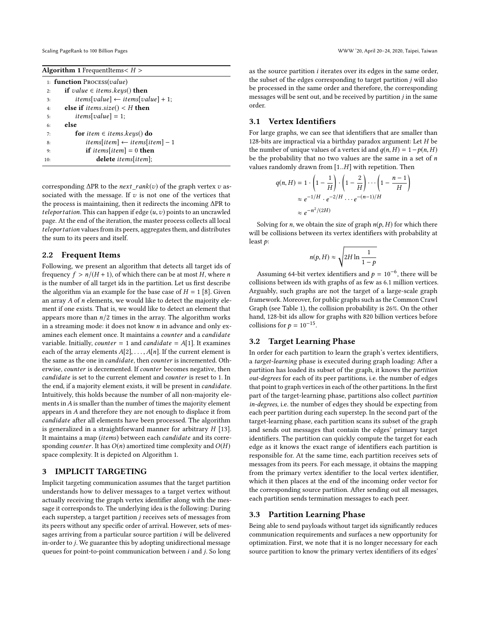<span id="page-2-3"></span>

| <b>Algorithm 1</b> FrequentItems $H >$     |                                                |  |  |  |
|--------------------------------------------|------------------------------------------------|--|--|--|
| 1: <b>function</b> Process( <i>value</i> ) |                                                |  |  |  |
| 2:                                         | <b>if</b> value $\in$ items.keys() <b>then</b> |  |  |  |
| 3:                                         | items[value] $\leftarrow$ items[value] + 1;    |  |  |  |
| 4:                                         | else if <i>items.size</i> () $\lt H$ then      |  |  |  |
| 5:                                         | <i>items[value]</i> = 1;                       |  |  |  |
| 6:                                         | else                                           |  |  |  |
| 7:                                         | for item $\in$ items.keys() do                 |  |  |  |
| 8:                                         | items[item] $\leftarrow$ items[item] - 1       |  |  |  |
| 9:                                         | <b>if</b> items[item] = 0 <b>then</b>          |  |  |  |
| 10:                                        | <b>delete</b> <i>items</i> [ <i>item</i> ];    |  |  |  |

corresponding  $\Delta PR$  to the *next* rank(v) of the graph vertex v associated with the message. If  $v$  is not one of the vertices that the process is maintaining, then it redirects the incoming ∆PR to teleportation. This can happen if edge  $(u, v)$  points to an uncrawled page. At the end of the iteration, the master process collects all local teleportation values from its peers, aggregates them, and distributes the sum to its peers and itself.

#### <span id="page-2-4"></span>2.2 Frequent Items

Following, we present an algorithm that detects all target ids of frequency  $f > n/(H + 1)$ , of which there can be at most H, where n is the number of all target ids in the partition. Let us first describe the algorithm via an example for the base case of  $H = 1$  [\[8\]](#page-6-28). Given an array A of n elements, we would like to detect the majority element if one exists. That is, we would like to detect an element that appears more than  $n/2$  times in the array. The algorithm works in a streaming mode: it does not know  $n$  in advance and only examines each element once. It maintains a counter and a candidate variable. Initially, *counter* = 1 and *candidate* =  $A[1]$ . It examines each of the array elements  $A[2], \ldots, A[n]$ . If the current element is the same as the one in candidate, then counter is incremented. Otherwise, counter is decremented. If counter becomes negative, then candidate is set to the current element and counter is reset to 1. In the end, if a majority element exists, it will be present in candidate. Intuitively, this holds because the number of all non-majority elements in  $A$  is smaller than the number of times the majority element appears in A and therefore they are not enough to displace it from candidate after all elements have been processed. The algorithm is generalized in a straightforward manner for arbitrary  $H$  [\[13\]](#page-6-29). It maintains a map (items) between each candidate and its corresponding *counter*. It has  $O(n)$  amortized time complexity and  $O(H)$ space complexity. It is depicted on Algorithm [1.](#page-2-3)

## <span id="page-2-2"></span>3 IMPLICIT TARGETING

Implicit targeting communication assumes that the target partition understands how to deliver messages to a target vertex without actually receiving the graph vertex identifier along with the message it corresponds to. The underlying idea is the following: During each superstep, a target partition j receives sets of messages from its peers without any specific order of arrival. However, sets of messages arriving from a particular source partition i will be delivered in-order to j. We guarantee this by adopting unidirectional message queues for point-to-point communication between i and j. So long

as the source partition i iterates over its edges in the same order, the subset of the edges corresponding to target partition  $j$  will also be processed in the same order and therefore, the corresponding messages will be sent out, and be received by partition j in the same order.

# <span id="page-2-0"></span>3.1 Vertex Identifiers

For large graphs, we can see that identifiers that are smaller than 128-bits are impractical via a birthday paradox argument: Let  $H$  be the number of unique values of a vertex id and  $q(n, H) = 1-p(n, H)$ be the probability that no two values are the same in a set of  $n$ values randomly drawn from [1..H] with repetition. Then

$$
q(n, H) = 1 \cdot \left(1 - \frac{1}{H}\right) \cdot \left(1 - \frac{2}{H}\right) \cdots \left(1 - \frac{n-1}{H}\right)
$$

$$
\approx e^{-1/H} \cdot e^{-2/H} \cdots e^{-(n-1)/H}
$$

$$
\approx e^{-n^2/(2H)}
$$

Solving for *n*, we obtain the size of graph  $n(p, H)$  for which there will be collisions between its vertex identifiers with probability at least p:

$$
n(p, H) \approx \sqrt{2H \ln \frac{1}{1-p}}
$$

Assuming 64-bit vertex identifiers and  $p = 10^{-6}$ , there will be lisions between ide with graphs of as few as 6.1 million vertices collisions between ids with graphs of as few as 6.1 million vertices. Arguably, such graphs are not the target of a large-scale graph framework. Moreover, for public graphs such as the Common Crawl Graph (see Table [1\)](#page-4-1), the collision probability is 26%. On the other hand, 128-bit ids allow for graphs with 820 billion vertices before collisions for  $p = 10^{-15}$ .

#### 3.2 Target Learning Phase

In order for each partition to learn the graph's vertex identifiers, a target-learning phase is executed during graph loading: After a partition has loaded its subset of the graph, it knows the partition out-degrees for each of its peer partitions, i.e. the number of edges that point to graph vertices in each of the other partitions. In the first part of the target-learning phase, partitions also collect partition in-degrees, i.e. the number of edges they should be expecting from each peer partition during each superstep. In the second part of the target-learning phase, each partition scans its subset of the graph and sends out messages that contain the edges' primary target identifiers. The partition can quickly compute the target for each edge as it knows the exact range of identifiers each partition is responsible for. At the same time, each partition receives sets of messages from its peers. For each message, it obtains the mapping from the primary vertex identifier to the local vertex identifier, which it then places at the end of the incoming order vector for the corresponding source partition. After sending out all messages, each partition sends termination messages to each peer.

## <span id="page-2-1"></span>3.3 Partition Learning Phase

Being able to send payloads without target ids significantly reduces communication requirements and surfaces a new opportunity for optimization. First, we note that it is no longer necessary for each source partition to know the primary vertex identifiers of its edges'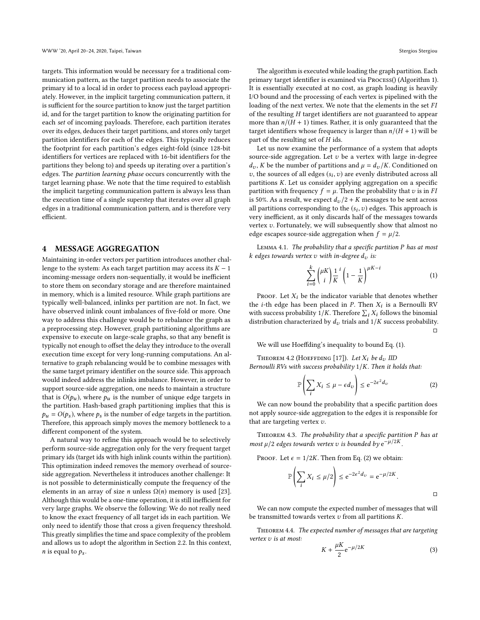targets. This information would be necessary for a traditional communication pattern, as the target partition needs to associate the primary id to a local id in order to process each payload appropriately. However, in the implicit targeting communication pattern, it is sufficient for the source partition to know just the target partition id, and for the target partition to know the originating partition for each set of incoming payloads. Therefore, each partition iterates over its edges, deduces their target partitions, and stores only target partition identifiers for each of the edges. This typically reduces the footprint for each partition's edges eight-fold (since 128-bit identifiers for vertices are replaced with 16-bit identifiers for the partitions they belong to) and speeds up iterating over a partition's edges. The partition learning phase occurs concurrently with the target learning phase. We note that the time required to establish the implicit targeting communication pattern is always less than the execution time of a single superstep that iterates over all graph edges in a traditional communication pattern, and is therefore very efficient.

#### <span id="page-3-0"></span>4 MESSAGE AGGREGATION

Maintaining in-order vectors per partition introduces another challenge to the system: As each target partition may access its  $K - 1$ incoming-message orders non-sequentially, it would be inefficient to store them on secondary storage and are therefore maintained in memory, which is a limited resource. While graph partitions are typically well-balanced, inlinks per partition are not. In fact, we have observed inlink count imbalances of five-fold or more. One way to address this challenge would be to rebalance the graph as a preprocessing step. However, graph partitioning algorithms are expensive to execute on large-scale graphs, so that any benefit is typically not enough to offset the delay they introduce to the overall execution time except for very long-running computations. An alternative to graph rebalancing would be to combine messages with the same target primary identifier on the source side. This approach would indeed address the inlinks imbalance. However, in order to support source-side aggregation, one needs to maintain a structure that is  $O(p_u)$ , where  $p_u$  is the number of unique edge targets in the partition. Hash-based graph partitioning implies that this is  $p_u = O(p_s)$ , where  $p_s$  is the number of edge targets in the partition. Therefore, this approach simply moves the memory bottleneck to a different component of the system.

A natural way to refine this approach would be to selectively perform source-side aggregation only for the very frequent target primary ids (target ids with high inlink counts within the partition). This optimization indeed removes the memory overhead of sourceside aggregation. Nevertheless it introduces another challenge: It is not possible to deterministically compute the frequency of the elements in an array of size *n* unless  $\Omega(n)$  memory is used [\[23\]](#page-6-30). Although this would be a one-time operation, it is still inefficient for very large graphs. We observe the following: We do not really need to know the exact frequency of all target ids in each partition. We only need to identify those that cross a given frequency threshold. This greatly simplifies the time and space complexity of the problem and allows us to adopt the algorithm in Section [2.2.](#page-2-4) In this context, *n* is equal to  $p_s$ .

The algorithm is executed while loading the graph partition. Each primary target identifier is examined via Process() (Algorithm [1\)](#page-2-3). It is essentially executed at no cost, as graph loading is heavily I/O bound and the processing of each vertex is pipelined with the loading of the next vertex. We note that the elements in the set FI of the resulting H target identifiers are not guaranteed to appear more than  $n/(H + 1)$  times. Rather, it is only guaranteed that the target identifiers whose frequency is larger than  $n/(H + 1)$  will be part of the resulting set of  $H$  ids.

Let us now examine the performance of a system that adopts source-side aggregation. Let  $v$  be a vertex with large in-degree  $d_v$ , K be the number of partitions and  $\mu = d_v/K$ . Conditioned on v, the sources of all edges  $(s_i, v)$  are evenly distributed across all partitions  $K$ . Let us consider applying aggregation on a specific partitions K. Let us consider applying aggregation on a specific partition with frequency  $f = \mu$ . Then the probability that v is in FI is 50%. As a result, we expect  $d_v/2 + K$  messages to be sent across all partitions corresponding to the  $(s_i, v)$  edges. This approach is<br>very inefficient, as it only discards half of the messages towards very inefficient, as it only discards half of the messages towards vertex  $v$ . Fortunately, we will subsequently show that almost no edge escapes source-side aggregation when  $f = \mu/2$ .

Lemma 4.1. The probability that a specific partition P has at most k edges towards vertex v with in-degree  $d_v$  is:

<span id="page-3-1"></span>
$$
\sum_{i=0}^{k} \binom{\mu K}{i} \frac{1}{K}^{i} \left(1 - \frac{1}{K}\right)^{\mu K - i} \tag{1}
$$

PROOF. Let  $X_i$  be the indicator variable that denotes whether the *i*-th edge has been placed in *P*. Then  $X_i$  is a Bernoulli RV with success probability  $1/K$  Therefore  $\Sigma$ . *Y*, follows the binomial with success probability  $1/K$ . Therefore  $\sum_i X_i$  follows the binomial distribution characterized by d, trials and  $1/K$  success probability distribution characterized by  $d_v$  trials and  $1/K$  success probability.  $\Box$ 

We will use Hoeffding's inequality to bound Eq. [\(1\)](#page-3-1).

THEOREM 4.2 (HOEFFDING [\[17\]](#page-6-31)). Let  $X_i$  be  $d_v$  IID Bernoulli RVs with success probability  $1/K$ . Then it holds that:

<span id="page-3-2"></span>
$$
\mathbb{P}\left(\sum_{i} X_{i} \leq \mu - \epsilon d_{v}\right) \leq e^{-2\epsilon^{2} d_{v}} \tag{2}
$$

i We can now bound the probability that a specific partition does not apply source-side aggregation to the edges it is responsible for that are targeting vertex  $v$ .

Theorem 4.3. The probability that a specific partition P has at most  $\mu/2$  edges towards vertex v is bounded by  $e^{-\mu/2K}$ .

PROOF. Let  $\epsilon = 1/2K$ . Then from Eq. [\(2\)](#page-3-2) we obtain:

$$
\mathbb{P}\left(\sum_{i} X_{i} \leq \mu/2\right) \leq e^{-2\epsilon^{2}d_{\nu}} = e^{-\mu/2K}.
$$

We can now compute the expected number of messages that will be transmitted towards vertex  $v$  from all partitions  $K$ .

Theorem 4.4. The expected number of messages that are targeting vertex v is at most:

<span id="page-3-3"></span>
$$
K + \frac{\mu K}{2} e^{-\mu/2K} \tag{3}
$$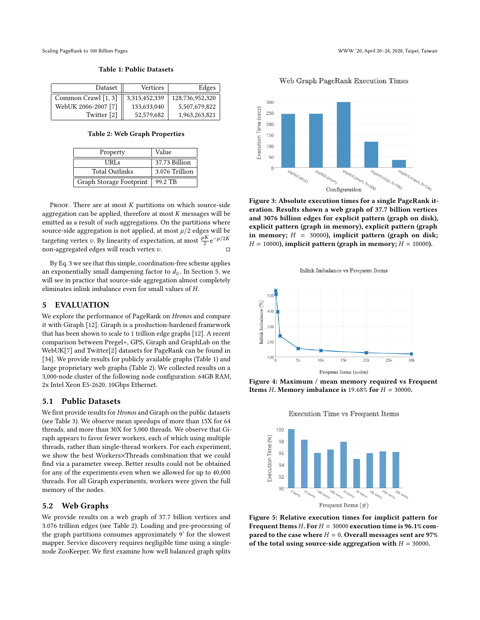<span id="page-4-1"></span>

Table 1: Public Datasets

| Dataset             | Vertices      | Edges           |
|---------------------|---------------|-----------------|
| Common Crawl [1, 3] | 3,315,452,339 | 128,736,952,320 |
| WebUK 2006-2007 [7] | 133,633,040   | 5,507,679,822   |
| Twitter [2]         | 52,579,682    | 1,963,263,821   |

Table 2: Web Graph Properties

<span id="page-4-2"></span>

| Property                | Value          |
|-------------------------|----------------|
| URLs                    | 37.73 Billion  |
| <b>Total Outlinks</b>   | 3.076 Trillion |
| Graph Storage Footprint | 99.2 TB        |

PROOF. There are at most  $K$  partitions on which source-side aggregation can be applied, therefore at most  $K$  messages will be emitted as a result of such aggregations. On the partitions where source-side aggregation is not applied, at most  $\mu/2$  edges will be targeting vertex v. By linearity of expectation, at most  $\frac{\mu K}{2} e^{-\mu/2K}$ non-aggregated edges will reach vertex v.  $□$ 

By Eq. [3](#page-3-3) we see that this simple, coordination-free scheme applies an exponentially small dampening factor to  $d_v$ . In Section [5,](#page-4-0) we will see in practice that source-side aggregation almost completely eliminates inlink imbalance even for small values of H.

# <span id="page-4-0"></span>5 EVALUATION

We explore the performance of PageRank on Hronos and compare it with Giraph [\[12\]](#page-6-2). Giraph is a production-hardened framework that has been shown to scale to 1 trillion edge graphs [\[12\]](#page-6-2). A recent comparison between Pregel+, GPS, Giraph and GraphLab on the WebUK[\[7\]](#page-6-34) and Twitter[\[2\]](#page-6-35) datasets for PageRank can be found in [\[34\]](#page-6-22). We provide results for publicly available graphs (Table [1\)](#page-4-1) and large proprietary web graphs (Table [2\)](#page-4-2). We collected results on a 3,000-node cluster of the following node configuration: 64GB RAM, 2x Intel Xeon E5-2620, 10Gbps Ethernet.

#### 5.1 Public Datasets

We first provide results for Hronos and Giraph on the public datasets (see Table [3\)](#page-5-0). We observe mean speedups of more than 15X for 64 threads, and more than 30X for 5,000 threads. We observe that Giraph appears to favor fewer workers, each of which using multiple threads, rather than single-thread workers. For each experiment, we show the best Workers×Threads combination that we could find via a parameter sweep. Better results could not be obtained for any of the experiments even when we allowed for up to 40,000 threads. For all Giraph experiments, workers were given the full memory of the nodes.

#### 5.2 Web Graphs

We provide results on a web graph of 37.7 billion vertices and 3.076 trillion edges (see Table [2\)](#page-4-2). Loading and pre-processing of the graph partitions consumes approximately 9' for the slowest mapper. Service discovery requires negligible time using a singlenode ZooKeeper. We first examine how well balanced graph splits

Web Graph PageRank Execution Times

<span id="page-4-3"></span>

Figure 3: Absolute execution times for a single PageRank iteration. Results shown a web graph of 37.7 billion vertices and 3076 billion edges for explicit pattern (graph on disk), explicit pattern (graph in memory), explicit pattern (graph in memory;  $H = 30000$ , implicit pattern (graph on disk;  $H = 10000$ ), implicit pattern (graph in memory;  $H = 10000$ ).



<span id="page-4-4"></span>

Frequent Items (nodes)

<span id="page-4-5"></span>Figure 4: Maximum / mean memory required vs Frequent Items H. Memory imbalance is 19.68% for  $H = 30000$ .



Figure 5: Relative execution times for implicit pattern for Frequent Items H. For  $H = 30000$  execution time is 96.1% compared to the case where  $H = 0$ . Overall messages sent are 97% of the total using source-side aggregation with  $H = 30000$ .

**Execution Time vs Frequent Items**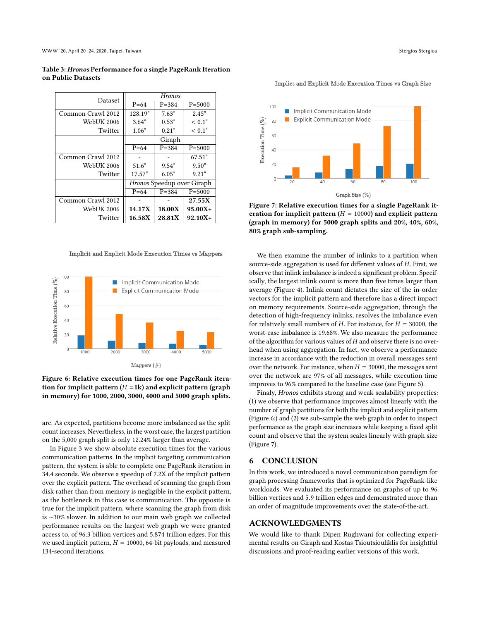WWW '20, April 20–24, 2020, Taipei, Taiwan Stergious Stergious Stergious Stergious Stergious Stergious Stergiou

<span id="page-5-0"></span>Table 3: Hronos Performance for a single PageRank Iteration on Public Datasets

| Dataset           | <b>Hronos</b>                     |           |            |
|-------------------|-----------------------------------|-----------|------------|
|                   | $P = 64$                          | $P = 384$ | $P = 5000$ |
| Common Crawl 2012 | 128.19"                           | 7.63"     | 2.45"      |
| <b>WebUK 2006</b> | 3.64"                             | 0.53"     | < 0.1"     |
| Twitter           | 1.06"                             | 0.21"     | < 0.1"     |
|                   | Giraph                            |           |            |
|                   | $P = 64$                          | $P = 384$ | $P = 5000$ |
| Common Crawl 2012 |                                   |           | 67.51"     |
| <b>WebUK 2006</b> | 51.6"                             | 9.54"     | 9.50"      |
| Twitter           | 17.57"                            | 6.05"     | 9.21"      |
|                   | <i>Hronos</i> Speedup over Giraph |           |            |
|                   | $P = 64$                          | $P = 384$ | $P = 5000$ |
| Common Crawl 2012 |                                   |           | 27.55X     |
| <b>WebUK 2006</b> | 14.17X                            | 18.00X    | $95.00X +$ |
| Twitter           | 16.58X                            | 28.81X    | $92.10X +$ |

<span id="page-5-1"></span>Implicit and Explicit Mode Execution Times vs Mappers



Figure 6: Relative execution times for one PageRank iteration for implicit pattern  $(H = 1k)$  and explicit pattern (graph in memory) for 1000, 2000, 3000, 4000 and 5000 graph splits.

are. As expected, partitions become more imbalanced as the split count increases. Nevertheless, in the worst case, the largest partition on the 5,000 graph split is only 12.24% larger than average.

In Figure [3](#page-4-3) we show absolute execution times for the various communication patterns. In the implicit targeting communication pattern, the system is able to complete one PageRank iteration in 34.4 seconds. We observe a speedup of 7.2X of the implicit pattern over the explicit pattern. The overhead of scanning the graph from disk rather than from memory is negligible in the explicit pattern, as the bottleneck in this case is communication. The opposite is true for the implicit pattern, where scanning the graph from disk is ∼30% slower. In addition to our main web graph we collected performance results on the largest web graph we were granted access to, of 96.3 billion vertices and 5.874 trillion edges. For this we used implicit pattern,  $H = 10000$ , 64-bit payloads, and measured 134-second iterations.

<span id="page-5-2"></span>Implict and Explicit Mode Execution Times vs Graph Size



Figure 7: Relative execution times for a single PageRank iteration for implicit pattern ( $H = 10000$ ) and explicit pattern (graph in memory) for 5000 graph splits and 20%, 40%, 60%, 80% graph sub-sampling.

We then examine the number of inlinks to a partition when source-side aggregation is used for different values of H. First, we observe that inlink imbalance is indeed a significant problem. Specifically, the largest inlink count is more than five times larger than average (Figure [4\)](#page-4-4). Inlink count dictates the size of the in-order vectors for the implicit pattern and therefore has a direct impact on memory requirements. Source-side aggregation, through the detection of high-frequency inlinks, resolves the imbalance even for relatively small numbers of H. For instance, for  $H = 30000$ , the worst-case imbalance is 19.68%. We also measure the performance of the algorithm for various values of  $H$  and observe there is no overhead when using aggregation. In fact, we observe a performance increase in accordance with the reduction in overall messages sent over the network. For instance, when  $H = 30000$ , the messages sent over the network are 97% of all messages, while execution time improves to 96% compared to the baseline case (see Figure [5\)](#page-4-5).

Finaly, Hronos exhibits strong and weak scalability properties: (1) we observe that performance improves almost linearly with the number of graph partitions for both the implicit and explicit pattern (Figure [6;](#page-5-1)) and (2) we sub-sample the web graph in order to inspect performance as the graph size increases while keeping a fixed split count and observe that the system scales linearly with graph size (Figure [7\)](#page-5-2).

# 6 CONCLUSION

In this work, we introduced a novel communication paradigm for graph processing frameworks that is optimized for PageRank-like workloads. We evaluated its performance on graphs of up to 96 billion vertices and <sup>5</sup>.<sup>9</sup> trillion edges and demonstrated more than an order of magnitude improvements over the state-of-the-art.

## ACKNOWLEDGMENTS

We would like to thank Dipen Rughwani for collecting experimental results on Giraph and Kostas Tsioutsiouliklis for insightful discussions and proof-reading earlier versions of this work.